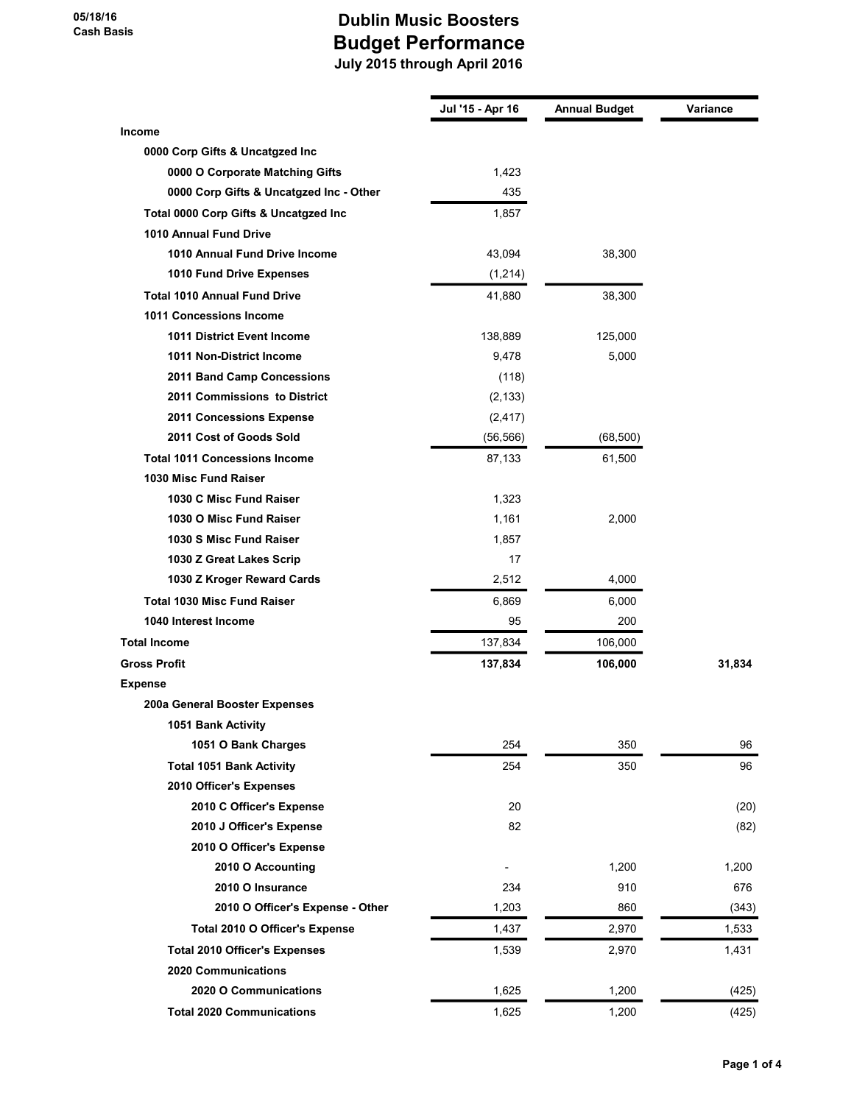|                                         | Jul '15 - Apr 16 | <b>Annual Budget</b> | Variance |
|-----------------------------------------|------------------|----------------------|----------|
| <b>Income</b>                           |                  |                      |          |
| 0000 Corp Gifts & Uncatgzed Inc         |                  |                      |          |
| 0000 O Corporate Matching Gifts         | 1,423            |                      |          |
| 0000 Corp Gifts & Uncatgzed Inc - Other | 435              |                      |          |
| Total 0000 Corp Gifts & Uncatgzed Inc   | 1,857            |                      |          |
| <b>1010 Annual Fund Drive</b>           |                  |                      |          |
| 1010 Annual Fund Drive Income           | 43,094           | 38,300               |          |
| 1010 Fund Drive Expenses                | (1,214)          |                      |          |
| <b>Total 1010 Annual Fund Drive</b>     | 41,880           | 38,300               |          |
| 1011 Concessions Income                 |                  |                      |          |
| <b>1011 District Event Income</b>       | 138,889          | 125,000              |          |
| 1011 Non-District Income                | 9,478            | 5,000                |          |
| 2011 Band Camp Concessions              | (118)            |                      |          |
| 2011 Commissions to District            | (2, 133)         |                      |          |
| 2011 Concessions Expense                | (2, 417)         |                      |          |
| 2011 Cost of Goods Sold                 | (56, 566)        | (68, 500)            |          |
| <b>Total 1011 Concessions Income</b>    | 87,133           | 61,500               |          |
| 1030 Misc Fund Raiser                   |                  |                      |          |
| 1030 C Misc Fund Raiser                 | 1,323            |                      |          |
| 1030 O Misc Fund Raiser                 | 1,161            | 2,000                |          |
| 1030 S Misc Fund Raiser                 | 1,857            |                      |          |
| 1030 Z Great Lakes Scrip                | 17               |                      |          |
| 1030 Z Kroger Reward Cards              | 2,512            | 4,000                |          |
| <b>Total 1030 Misc Fund Raiser</b>      | 6,869            | 6,000                |          |
| 1040 Interest Income                    | 95               | 200                  |          |
| <b>Total Income</b>                     | 137,834          | 106,000              |          |
| <b>Gross Profit</b>                     | 137,834          | 106,000              | 31,834   |
| Expense                                 |                  |                      |          |
| 200a General Booster Expenses           |                  |                      |          |
| 1051 Bank Activity                      |                  |                      |          |
| 1051 O Bank Charges                     | 254              | 350                  | 96       |
| <b>Total 1051 Bank Activity</b>         | 254              | 350                  | 96       |
| 2010 Officer's Expenses                 |                  |                      |          |
| 2010 C Officer's Expense                | 20               |                      | (20)     |
| 2010 J Officer's Expense                | 82               |                      | (82)     |
| 2010 O Officer's Expense                |                  |                      |          |
| 2010 O Accounting                       |                  | 1,200                | 1,200    |
| 2010 O Insurance                        | 234              | 910                  | 676      |
| 2010 O Officer's Expense - Other        | 1,203            | 860                  | (343)    |
| Total 2010 O Officer's Expense          | 1,437            | 2,970                | 1,533    |
| <b>Total 2010 Officer's Expenses</b>    | 1,539            | 2,970                | 1,431    |
| <b>2020 Communications</b>              |                  |                      |          |
| 2020 O Communications                   | 1,625            | 1,200                | (425)    |
| <b>Total 2020 Communications</b>        | 1,625            | 1,200                | (425)    |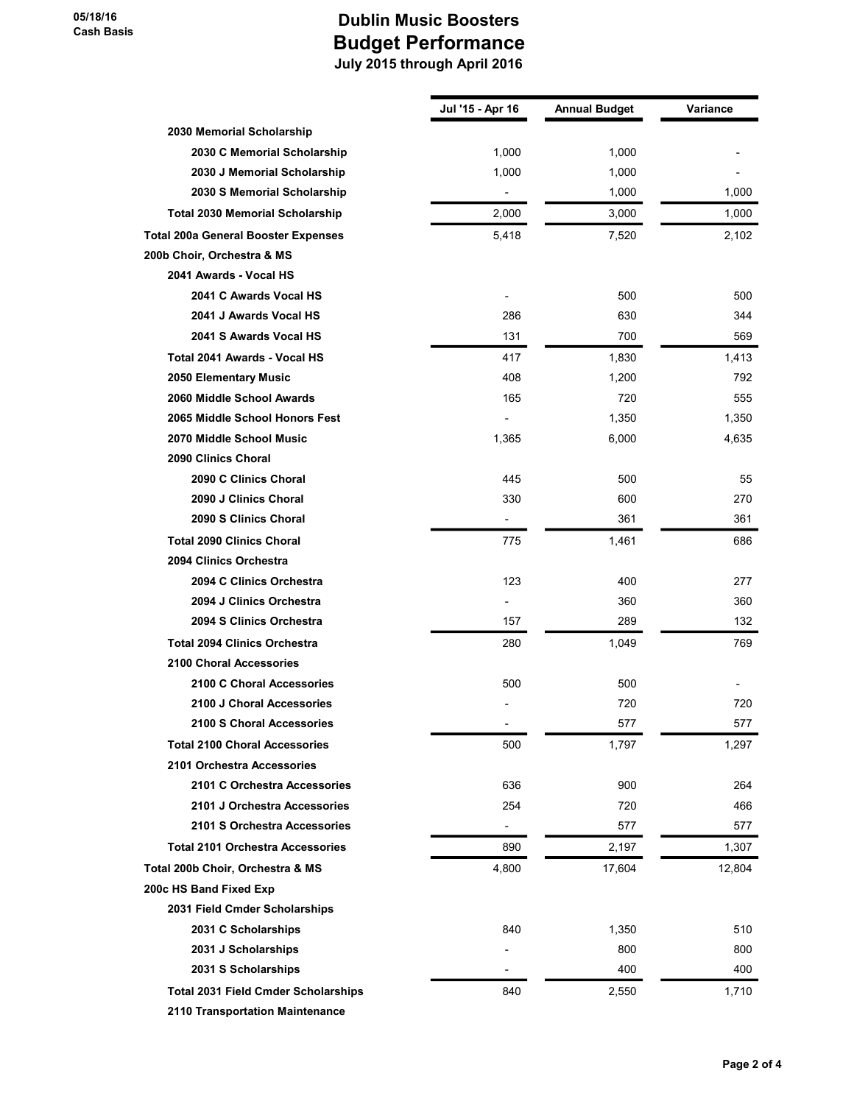|                                            | Jul '15 - Apr 16         | <b>Annual Budget</b> | Variance |
|--------------------------------------------|--------------------------|----------------------|----------|
| 2030 Memorial Scholarship                  |                          |                      |          |
| 2030 C Memorial Scholarship                | 1,000                    | 1,000                |          |
| 2030 J Memorial Scholarship                | 1,000                    | 1,000                |          |
| 2030 S Memorial Scholarship                |                          | 1,000                | 1,000    |
| <b>Total 2030 Memorial Scholarship</b>     | 2,000                    | 3,000                | 1,000    |
| <b>Total 200a General Booster Expenses</b> | 5,418                    | 7,520                | 2,102    |
| 200b Choir, Orchestra & MS                 |                          |                      |          |
| 2041 Awards - Vocal HS                     |                          |                      |          |
| 2041 C Awards Vocal HS                     |                          | 500                  | 500      |
| 2041 J Awards Vocal HS                     | 286                      | 630                  | 344      |
| 2041 S Awards Vocal HS                     | 131                      | 700                  | 569      |
| Total 2041 Awards - Vocal HS               | 417                      | 1,830                | 1,413    |
| 2050 Elementary Music                      | 408                      | 1,200                | 792      |
| 2060 Middle School Awards                  | 165                      | 720                  | 555      |
| 2065 Middle School Honors Fest             |                          | 1,350                | 1,350    |
| 2070 Middle School Music                   | 1,365                    | 6,000                | 4,635    |
| 2090 Clinics Choral                        |                          |                      |          |
| 2090 C Clinics Choral                      | 445                      | 500                  | 55       |
| 2090 J Clinics Choral                      | 330                      | 600                  | 270      |
| 2090 S Clinics Choral                      | $\overline{\phantom{a}}$ | 361                  | 361      |
| <b>Total 2090 Clinics Choral</b>           | 775                      | 1,461                | 686      |
| 2094 Clinics Orchestra                     |                          |                      |          |
| 2094 C Clinics Orchestra                   | 123                      | 400                  | 277      |
| 2094 J Clinics Orchestra                   | $\overline{\phantom{0}}$ | 360                  | 360      |
| 2094 S Clinics Orchestra                   | 157                      | 289                  | 132      |
| <b>Total 2094 Clinics Orchestra</b>        | 280                      | 1,049                | 769      |
| <b>2100 Choral Accessories</b>             |                          |                      |          |
| 2100 C Choral Accessories                  | 500                      | 500                  |          |
| 2100 J Choral Accessories                  |                          | 720                  | 720      |
| 2100 S Choral Accessories                  | -                        | 577                  | 577      |
| <b>Total 2100 Choral Accessories</b>       | 500                      | 1,797                | 1,297    |
| 2101 Orchestra Accessories                 |                          |                      |          |
| 2101 C Orchestra Accessories               | 636                      | 900                  | 264      |
| 2101 J Orchestra Accessories               | 254                      | 720                  | 466      |
| 2101 S Orchestra Accessories               | $\overline{\phantom{0}}$ | 577                  | 577      |
| <b>Total 2101 Orchestra Accessories</b>    | 890                      | 2,197                | 1,307    |
| Total 200b Choir, Orchestra & MS           | 4,800                    | 17,604               | 12,804   |
| 200c HS Band Fixed Exp                     |                          |                      |          |
| 2031 Field Cmder Scholarships              |                          |                      |          |
| 2031 C Scholarships                        | 840                      | 1,350                | 510      |
| 2031 J Scholarships                        |                          | 800                  | 800      |
| 2031 S Scholarships                        |                          | 400                  | 400      |
| <b>Total 2031 Field Cmder Scholarships</b> | 840                      | 2,550                | 1,710    |
| 2110 Transportation Maintenance            |                          |                      |          |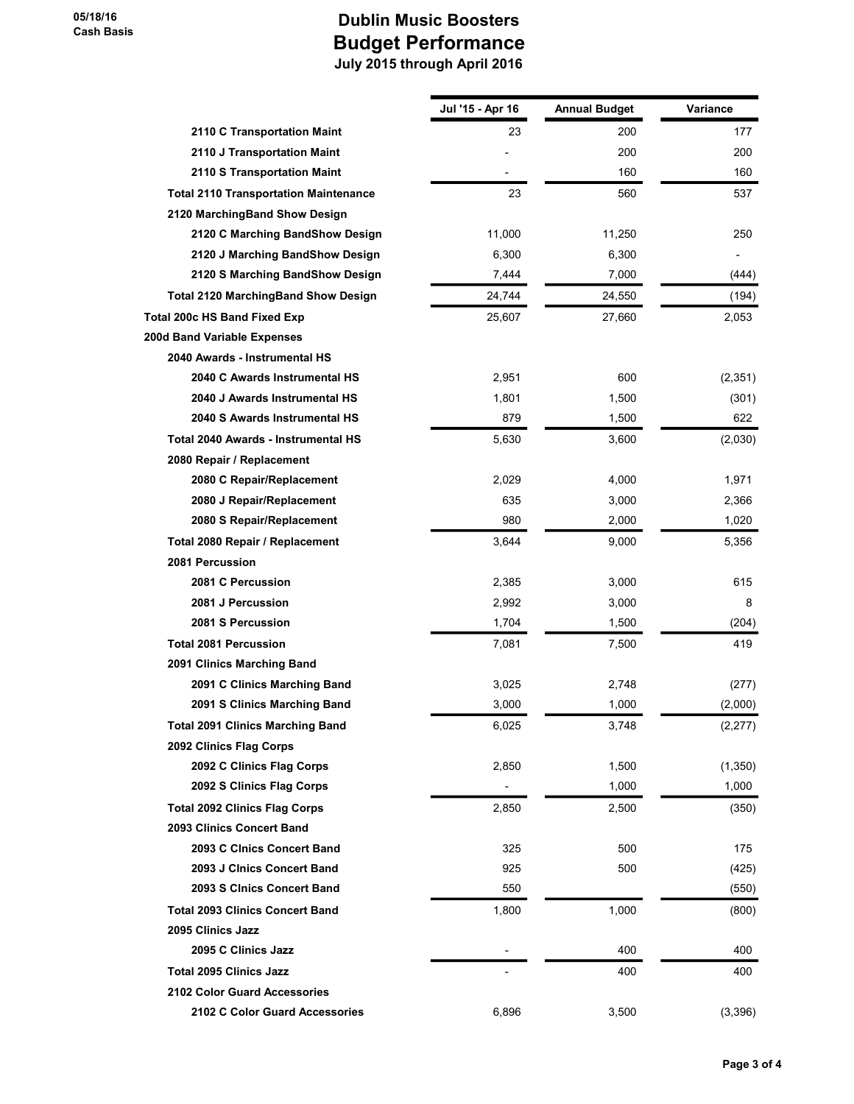|                                              | Jul '15 - Apr 16         | <b>Annual Budget</b> | Variance |
|----------------------------------------------|--------------------------|----------------------|----------|
| 2110 C Transportation Maint                  | 23                       | 200                  | 177      |
| 2110 J Transportation Maint                  |                          | 200                  | 200      |
| 2110 S Transportation Maint                  |                          | 160                  | 160      |
| <b>Total 2110 Transportation Maintenance</b> | 23                       | 560                  | 537      |
| 2120 MarchingBand Show Design                |                          |                      |          |
| 2120 C Marching BandShow Design              | 11,000                   | 11,250               | 250      |
| 2120 J Marching BandShow Design              | 6,300                    | 6,300                |          |
| 2120 S Marching BandShow Design              | 7,444                    | 7,000                | (444)    |
| <b>Total 2120 MarchingBand Show Design</b>   | 24,744                   | 24,550               | (194)    |
| Total 200c HS Band Fixed Exp                 | 25,607                   | 27,660               | 2,053    |
| 200d Band Variable Expenses                  |                          |                      |          |
| 2040 Awards - Instrumental HS                |                          |                      |          |
| 2040 C Awards Instrumental HS                | 2,951                    | 600                  | (2, 351) |
| 2040 J Awards Instrumental HS                | 1,801                    | 1,500                | (301)    |
| 2040 S Awards Instrumental HS                | 879                      | 1,500                | 622      |
| <b>Total 2040 Awards - Instrumental HS</b>   | 5,630                    | 3,600                | (2,030)  |
| 2080 Repair / Replacement                    |                          |                      |          |
| 2080 C Repair/Replacement                    | 2,029                    | 4,000                | 1,971    |
| 2080 J Repair/Replacement                    | 635                      | 3,000                | 2,366    |
| 2080 S Repair/Replacement                    | 980                      | 2,000                | 1,020    |
| Total 2080 Repair / Replacement              | 3,644                    | 9,000                | 5,356    |
| 2081 Percussion                              |                          |                      |          |
| 2081 C Percussion                            | 2,385                    | 3,000                | 615      |
| 2081 J Percussion                            | 2,992                    | 3,000                | 8        |
| 2081 S Percussion                            | 1,704                    | 1,500                | (204)    |
| <b>Total 2081 Percussion</b>                 | 7,081                    | 7,500                | 419      |
| 2091 Clinics Marching Band                   |                          |                      |          |
| 2091 C Clinics Marching Band                 | 3,025                    | 2,748                | (277)    |
| 2091 S Clinics Marching Band                 | 3,000                    | 1,000                | (2,000)  |
| <b>Total 2091 Clinics Marching Band</b>      | 6,025                    | 3,748                | (2,277)  |
| 2092 Clinics Flag Corps                      |                          |                      |          |
| 2092 C Clinics Flag Corps                    | 2,850                    | 1,500                | (1, 350) |
| 2092 S Clinics Flag Corps                    | $\overline{\phantom{a}}$ | 1,000                | 1,000    |
| <b>Total 2092 Clinics Flag Corps</b>         | 2,850                    | 2,500                | (350)    |
| 2093 Clinics Concert Band                    |                          |                      |          |
| 2093 C Clnics Concert Band                   | 325                      | 500                  | 175      |
| 2093 J Cinics Concert Band                   | 925                      | 500                  | (425)    |
| 2093 S Cinics Concert Band                   | 550                      |                      | (550)    |
| <b>Total 2093 Clinics Concert Band</b>       | 1,800                    | 1,000                | (800)    |
| 2095 Clinics Jazz                            |                          |                      |          |
| 2095 C Clinics Jazz                          |                          | 400                  | 400      |
| <b>Total 2095 Clinics Jazz</b>               |                          | 400                  | 400      |
| <b>2102 Color Guard Accessories</b>          |                          |                      |          |
| 2102 C Color Guard Accessories               | 6,896                    | 3,500                | (3,396)  |